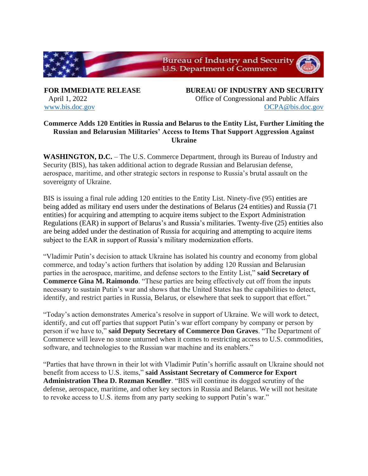

**FOR IMMEDIATE RELEASE BUREAU OF INDUSTRY AND SECURITY** April 1, 2022 Office of Congressional and Public Affairs [www.bis.doc.gov](http://www.bis.doc.gov/) [OCPA@bis.doc.gov](mailto:OCPA@bis.doc.gov)

## **Commerce Adds 120 Entities in Russia and Belarus to the Entity List, Further Limiting the Russian and Belarusian Militaries' Access to Items That Support Aggression Against Ukraine**

**WASHINGTON, D.C.** – The U.S. Commerce Department, through its Bureau of Industry and Security (BIS), has taken additional action to degrade Russian and Belarusian defense, aerospace, maritime, and other strategic sectors in response to Russia's brutal assault on the sovereignty of Ukraine.

BIS is issuing a final rule adding 120 entities to the Entity List. Ninety-five (95) entities are being added as military end users under the destinations of Belarus (24 entities) and Russia (71 entities) for acquiring and attempting to acquire items subject to the Export Administration Regulations (EAR) in support of Belarus's and Russia's militaries. Twenty-five (25) entities also are being added under the destination of Russia for acquiring and attempting to acquire items subject to the EAR in support of Russia's military modernization efforts.

"Vladimir Putin's decision to attack Ukraine has isolated his country and economy from global commerce, and today's action furthers that isolation by adding 120 Russian and Belarusian parties in the aerospace, maritime, and defense sectors to the Entity List," **said Secretary of Commerce Gina M. Raimondo**. "These parties are being effectively cut off from the inputs necessary to sustain Putin's war and shows that the United States has the capabilities to detect, identify, and restrict parties in Russia, Belarus, or elsewhere that seek to support that effort."

"Today's action demonstrates America's resolve in support of Ukraine. We will work to detect, identify, and cut off parties that support Putin's war effort company by company or person by person if we have to," **said Deputy Secretary of Commerce Don Graves**. "The Department of Commerce will leave no stone unturned when it comes to restricting access to U.S. commodities, software, and technologies to the Russian war machine and its enablers."

"Parties that have thrown in their lot with Vladimir Putin's horrific assault on Ukraine should not benefit from access to U.S. items," **said Assistant Secretary of Commerce for Export Administration Thea D. Rozman Kendler**. "BIS will continue its dogged scrutiny of the defense, aerospace, maritime, and other key sectors in Russia and Belarus. We will not hesitate to revoke access to U.S. items from any party seeking to support Putin's war."